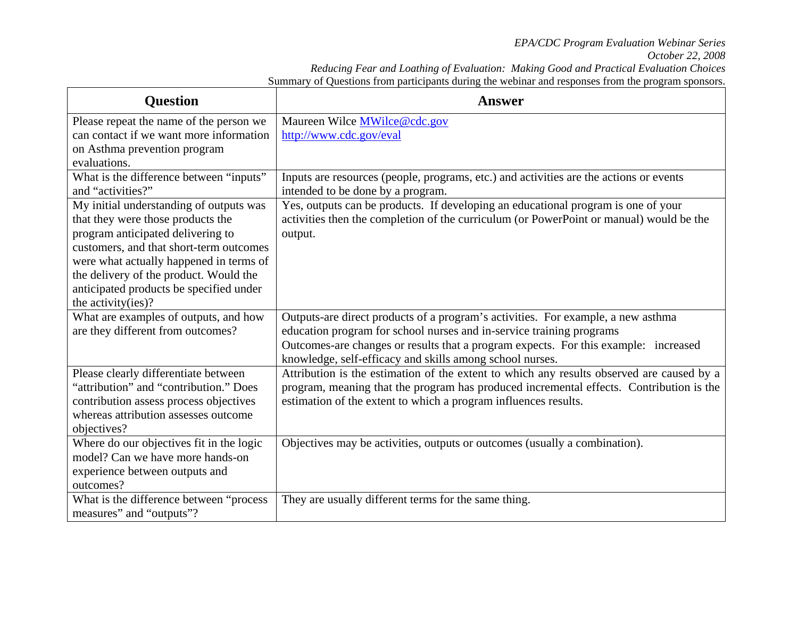|                                                                                                    | Reducing Fear and Loathing of Evaluation: Making Good and Practical Evaluation Choices |  |
|----------------------------------------------------------------------------------------------------|----------------------------------------------------------------------------------------|--|
| Summary of Questions from participants during the webinar and responses from the program sponsors. |                                                                                        |  |

| <b>Question</b>                                                                | <b>Answer</b>                                                                                                                                                                        |
|--------------------------------------------------------------------------------|--------------------------------------------------------------------------------------------------------------------------------------------------------------------------------------|
| Please repeat the name of the person we                                        | Maureen Wilce MWilce@cdc.gov                                                                                                                                                         |
| can contact if we want more information                                        | http://www.cdc.gov/eval                                                                                                                                                              |
| on Asthma prevention program                                                   |                                                                                                                                                                                      |
| evaluations.                                                                   |                                                                                                                                                                                      |
| What is the difference between "inputs"<br>and "activities?"                   | Inputs are resources (people, programs, etc.) and activities are the actions or events<br>intended to be done by a program.                                                          |
| My initial understanding of outputs was                                        | Yes, outputs can be products. If developing an educational program is one of your                                                                                                    |
| that they were those products the                                              | activities then the completion of the curriculum (or PowerPoint or manual) would be the                                                                                              |
| program anticipated delivering to                                              | output.                                                                                                                                                                              |
| customers, and that short-term outcomes                                        |                                                                                                                                                                                      |
| were what actually happened in terms of                                        |                                                                                                                                                                                      |
| the delivery of the product. Would the                                         |                                                                                                                                                                                      |
| anticipated products be specified under                                        |                                                                                                                                                                                      |
| the activity(ies)?                                                             |                                                                                                                                                                                      |
| What are examples of outputs, and how                                          | Outputs-are direct products of a program's activities. For example, a new asthma                                                                                                     |
| are they different from outcomes?                                              | education program for school nurses and in-service training programs                                                                                                                 |
|                                                                                | Outcomes-are changes or results that a program expects. For this example: increased                                                                                                  |
|                                                                                | knowledge, self-efficacy and skills among school nurses.                                                                                                                             |
| Please clearly differentiate between<br>"attribution" and "contribution." Does | Attribution is the estimation of the extent to which any results observed are caused by a<br>program, meaning that the program has produced incremental effects. Contribution is the |
| contribution assess process objectives                                         | estimation of the extent to which a program influences results.                                                                                                                      |
| whereas attribution assesses outcome                                           |                                                                                                                                                                                      |
| objectives?                                                                    |                                                                                                                                                                                      |
| Where do our objectives fit in the logic                                       | Objectives may be activities, outputs or outcomes (usually a combination).                                                                                                           |
| model? Can we have more hands-on                                               |                                                                                                                                                                                      |
| experience between outputs and                                                 |                                                                                                                                                                                      |
| outcomes?                                                                      |                                                                                                                                                                                      |
| What is the difference between "process                                        | They are usually different terms for the same thing.                                                                                                                                 |
| measures" and "outputs"?                                                       |                                                                                                                                                                                      |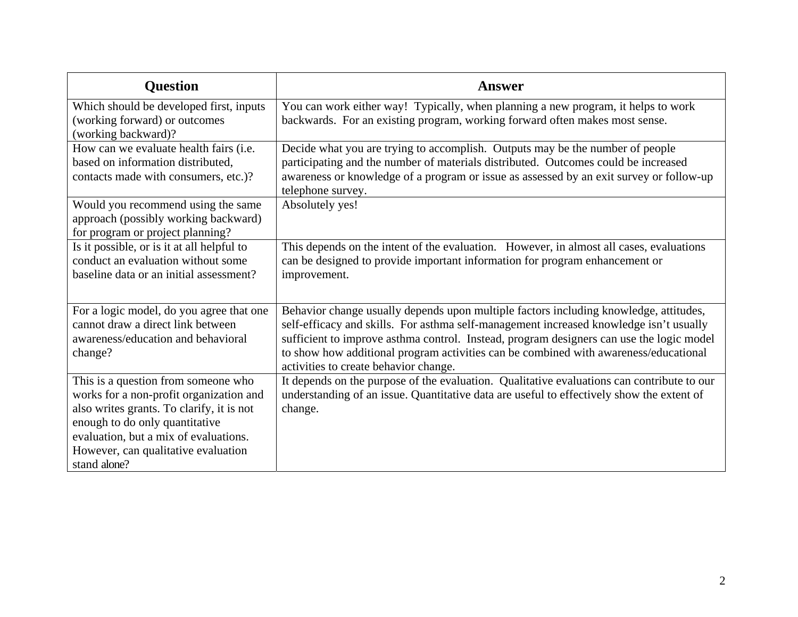| <b>Question</b>                                                                                                                                                                                                                                               | <b>Answer</b>                                                                                                                                                                                                                                                                                                                                                                                                |
|---------------------------------------------------------------------------------------------------------------------------------------------------------------------------------------------------------------------------------------------------------------|--------------------------------------------------------------------------------------------------------------------------------------------------------------------------------------------------------------------------------------------------------------------------------------------------------------------------------------------------------------------------------------------------------------|
| Which should be developed first, inputs<br>(working forward) or outcomes<br>(working backward)?                                                                                                                                                               | You can work either way! Typically, when planning a new program, it helps to work<br>backwards. For an existing program, working forward often makes most sense.                                                                                                                                                                                                                                             |
| How can we evaluate health fairs ( <i>i.e.</i><br>based on information distributed,<br>contacts made with consumers, etc.)?                                                                                                                                   | Decide what you are trying to accomplish. Outputs may be the number of people<br>participating and the number of materials distributed. Outcomes could be increased<br>awareness or knowledge of a program or issue as assessed by an exit survey or follow-up<br>telephone survey.                                                                                                                          |
| Would you recommend using the same<br>approach (possibly working backward)<br>for program or project planning?                                                                                                                                                | Absolutely yes!                                                                                                                                                                                                                                                                                                                                                                                              |
| Is it possible, or is it at all helpful to<br>conduct an evaluation without some<br>baseline data or an initial assessment?                                                                                                                                   | This depends on the intent of the evaluation. However, in almost all cases, evaluations<br>can be designed to provide important information for program enhancement or<br>improvement.                                                                                                                                                                                                                       |
| For a logic model, do you agree that one<br>cannot draw a direct link between<br>awareness/education and behavioral<br>change?                                                                                                                                | Behavior change usually depends upon multiple factors including knowledge, attitudes,<br>self-efficacy and skills. For asthma self-management increased knowledge isn't usually<br>sufficient to improve asthma control. Instead, program designers can use the logic model<br>to show how additional program activities can be combined with awareness/educational<br>activities to create behavior change. |
| This is a question from someone who<br>works for a non-profit organization and<br>also writes grants. To clarify, it is not<br>enough to do only quantitative<br>evaluation, but a mix of evaluations.<br>However, can qualitative evaluation<br>stand alone? | It depends on the purpose of the evaluation. Qualitative evaluations can contribute to our<br>understanding of an issue. Quantitative data are useful to effectively show the extent of<br>change.                                                                                                                                                                                                           |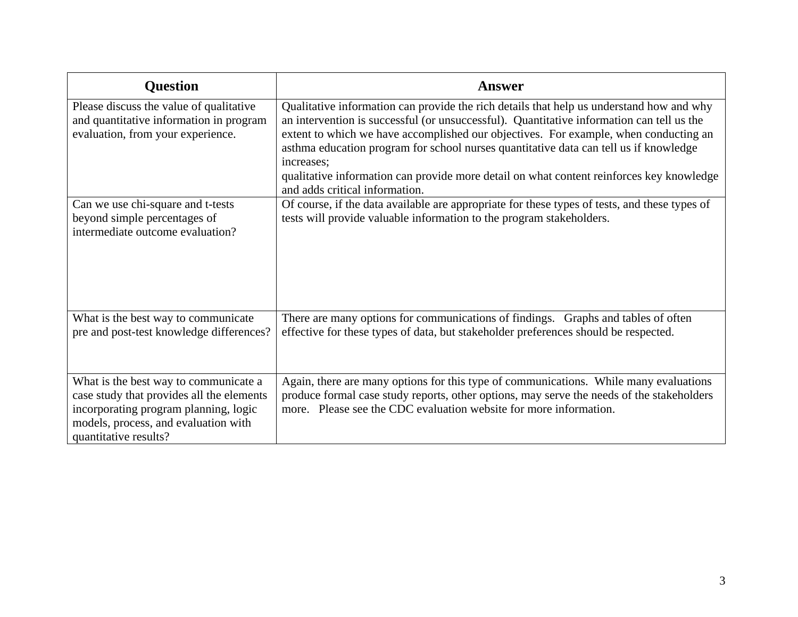| <b>Question</b>                                                                                                                                                                              | <b>Answer</b>                                                                                                                                                                                                                                                                                                                                                                                                                                                                                                      |
|----------------------------------------------------------------------------------------------------------------------------------------------------------------------------------------------|--------------------------------------------------------------------------------------------------------------------------------------------------------------------------------------------------------------------------------------------------------------------------------------------------------------------------------------------------------------------------------------------------------------------------------------------------------------------------------------------------------------------|
| Please discuss the value of qualitative<br>and quantitative information in program<br>evaluation, from your experience.                                                                      | Qualitative information can provide the rich details that help us understand how and why<br>an intervention is successful (or unsuccessful). Quantitative information can tell us the<br>extent to which we have accomplished our objectives. For example, when conducting an<br>asthma education program for school nurses quantitative data can tell us if knowledge<br>increases;<br>qualitative information can provide more detail on what content reinforces key knowledge<br>and adds critical information. |
| Can we use chi-square and t-tests<br>beyond simple percentages of<br>intermediate outcome evaluation?                                                                                        | Of course, if the data available are appropriate for these types of tests, and these types of<br>tests will provide valuable information to the program stakeholders.                                                                                                                                                                                                                                                                                                                                              |
| What is the best way to communicate<br>pre and post-test knowledge differences?                                                                                                              | There are many options for communications of findings. Graphs and tables of often<br>effective for these types of data, but stakeholder preferences should be respected.                                                                                                                                                                                                                                                                                                                                           |
| What is the best way to communicate a<br>case study that provides all the elements<br>incorporating program planning, logic<br>models, process, and evaluation with<br>quantitative results? | Again, there are many options for this type of communications. While many evaluations<br>produce formal case study reports, other options, may serve the needs of the stakeholders<br>more. Please see the CDC evaluation website for more information.                                                                                                                                                                                                                                                            |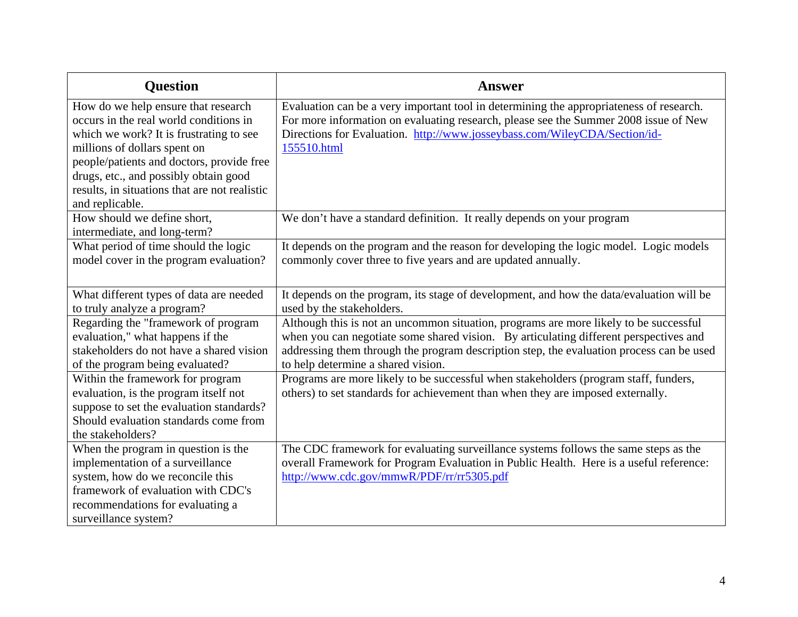| <b>Question</b>                                                                                                                                                                                                                                                                                                    | <b>Answer</b>                                                                                                                                                                                                                                                                                                    |
|--------------------------------------------------------------------------------------------------------------------------------------------------------------------------------------------------------------------------------------------------------------------------------------------------------------------|------------------------------------------------------------------------------------------------------------------------------------------------------------------------------------------------------------------------------------------------------------------------------------------------------------------|
| How do we help ensure that research<br>occurs in the real world conditions in<br>which we work? It is frustrating to see<br>millions of dollars spent on<br>people/patients and doctors, provide free<br>drugs, etc., and possibly obtain good<br>results, in situations that are not realistic<br>and replicable. | Evaluation can be a very important tool in determining the appropriateness of research.<br>For more information on evaluating research, please see the Summer 2008 issue of New<br>Directions for Evaluation. http://www.josseybass.com/WileyCDA/Section/id-<br>155510.html                                      |
| How should we define short,<br>intermediate, and long-term?                                                                                                                                                                                                                                                        | We don't have a standard definition. It really depends on your program                                                                                                                                                                                                                                           |
| What period of time should the logic<br>model cover in the program evaluation?                                                                                                                                                                                                                                     | It depends on the program and the reason for developing the logic model. Logic models<br>commonly cover three to five years and are updated annually.                                                                                                                                                            |
| What different types of data are needed<br>to truly analyze a program?                                                                                                                                                                                                                                             | It depends on the program, its stage of development, and how the data/evaluation will be<br>used by the stakeholders.                                                                                                                                                                                            |
| Regarding the "framework of program<br>evaluation," what happens if the<br>stakeholders do not have a shared vision<br>of the program being evaluated?                                                                                                                                                             | Although this is not an uncommon situation, programs are more likely to be successful<br>when you can negotiate some shared vision. By articulating different perspectives and<br>addressing them through the program description step, the evaluation process can be used<br>to help determine a shared vision. |
| Within the framework for program<br>evaluation, is the program itself not<br>suppose to set the evaluation standards?<br>Should evaluation standards come from<br>the stakeholders?                                                                                                                                | Programs are more likely to be successful when stakeholders (program staff, funders,<br>others) to set standards for achievement than when they are imposed externally.                                                                                                                                          |
| When the program in question is the<br>implementation of a surveillance<br>system, how do we reconcile this<br>framework of evaluation with CDC's<br>recommendations for evaluating a<br>surveillance system?                                                                                                      | The CDC framework for evaluating surveillance systems follows the same steps as the<br>overall Framework for Program Evaluation in Public Health. Here is a useful reference:<br>http://www.cdc.gov/mmwR/PDF/rr/rr5305.pdf                                                                                       |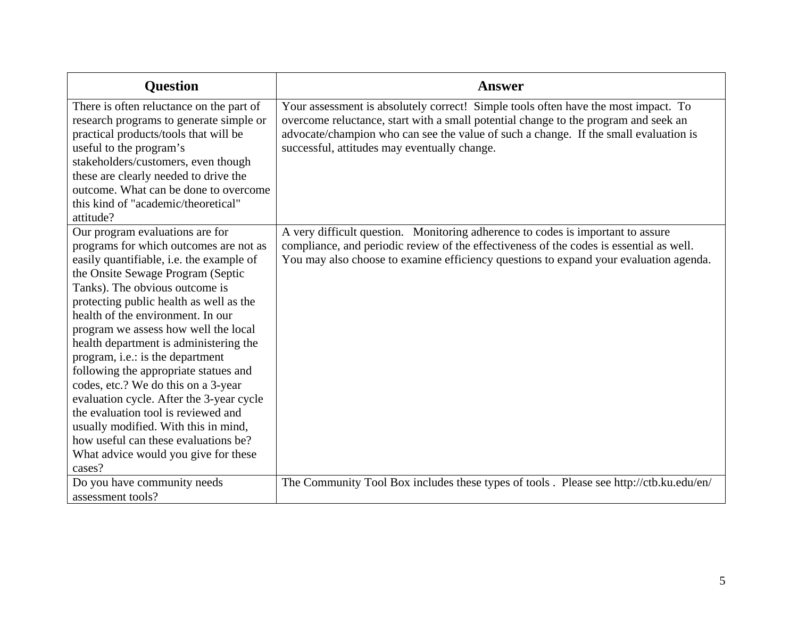| <b>Question</b>                                                                                                                                                                                                                                                                                                                                                                                                                                                                                                                                                                                                                                                                                         | <b>Answer</b>                                                                                                                                                                                                                                                                                                     |
|---------------------------------------------------------------------------------------------------------------------------------------------------------------------------------------------------------------------------------------------------------------------------------------------------------------------------------------------------------------------------------------------------------------------------------------------------------------------------------------------------------------------------------------------------------------------------------------------------------------------------------------------------------------------------------------------------------|-------------------------------------------------------------------------------------------------------------------------------------------------------------------------------------------------------------------------------------------------------------------------------------------------------------------|
| There is often reluctance on the part of<br>research programs to generate simple or<br>practical products/tools that will be<br>useful to the program's<br>stakeholders/customers, even though<br>these are clearly needed to drive the<br>outcome. What can be done to overcome<br>this kind of "academic/theoretical"<br>attitude?                                                                                                                                                                                                                                                                                                                                                                    | Your assessment is absolutely correct! Simple tools often have the most impact. To<br>overcome reluctance, start with a small potential change to the program and seek an<br>advocate/champion who can see the value of such a change. If the small evaluation is<br>successful, attitudes may eventually change. |
| Our program evaluations are for<br>programs for which outcomes are not as<br>easily quantifiable, i.e. the example of<br>the Onsite Sewage Program (Septic<br>Tanks). The obvious outcome is<br>protecting public health as well as the<br>health of the environment. In our<br>program we assess how well the local<br>health department is administering the<br>program, i.e.: is the department<br>following the appropriate statues and<br>codes, etc.? We do this on a 3-year<br>evaluation cycle. After the 3-year cycle<br>the evaluation tool is reviewed and<br>usually modified. With this in mind,<br>how useful can these evaluations be?<br>What advice would you give for these<br>cases? | A very difficult question. Monitoring adherence to codes is important to assure<br>compliance, and periodic review of the effectiveness of the codes is essential as well.<br>You may also choose to examine efficiency questions to expand your evaluation agenda.                                               |
| Do you have community needs<br>assessment tools?                                                                                                                                                                                                                                                                                                                                                                                                                                                                                                                                                                                                                                                        | The Community Tool Box includes these types of tools. Please see http://ctb.ku.edu/en/                                                                                                                                                                                                                            |